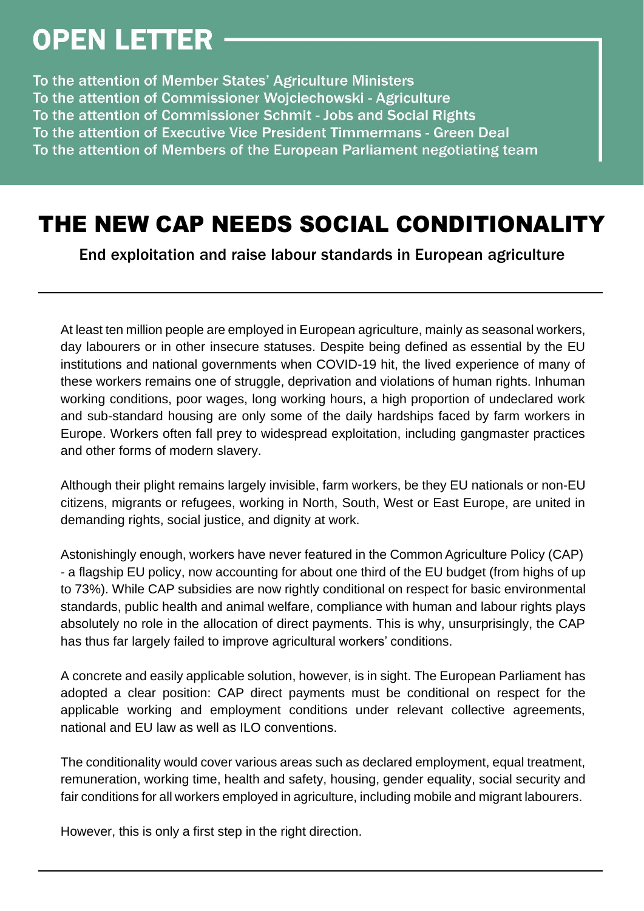## **OPEN LETTER**

To the attention of Member States' Agriculture Ministers To the attention of Commissioner Wojciechowski - Agriculture To the attention of Commissioner Schmit - Jobs and Social Rights To the attention of Executive Vice President Timmermans - Green Deal To the attention of Members of the European Parliament negotiating team

## THE NEW CAP NEEDS SOCIAL CONDITIONALITY

End exploitation and raise labour standards in European agriculture

At least ten million people are employed in European agriculture, mainly as seasonal workers, day labourers or in other insecure statuses. Despite being defined as essential by the EU institutions and national governments when COVID-19 hit, the lived experience of many of these workers remains one of struggle, deprivation and violations of human rights. Inhuman working conditions, poor wages, long working hours, a high proportion of undeclared work and sub-standard housing are only some of the daily hardships faced by farm workers in Europe. Workers often fall prey to widespread exploitation, including gangmaster practices and other forms of modern slavery.

Although their plight remains largely invisible, farm workers, be they EU nationals or non-EU citizens, migrants or refugees, working in North, South, West or East Europe, are united in demanding rights, social justice, and dignity at work.

Astonishingly enough, workers have never featured in the Common Agriculture Policy (CAP) - a flagship EU policy, now accounting for about one third of the EU budget (from highs of up to 73%). While CAP subsidies are now rightly conditional on respect for basic environmental standards, public health and animal welfare, compliance with human and labour rights plays absolutely no role in the allocation of direct payments. This is why, unsurprisingly, the CAP has thus far largely failed to improve agricultural workers' conditions.

A concrete and easily applicable solution, however, is in sight. The European Parliament has adopted a clear position: CAP direct payments must be conditional on respect for the applicable working and employment conditions under relevant collective agreements, national and EU law as well as ILO conventions.

The conditionality would cover various areas such as declared employment, equal treatment, remuneration, working time, health and safety, housing, gender equality, social security and fair conditions for all workers employed in agriculture, including mobile and migrant labourers.

However, this is only a first step in the right direction.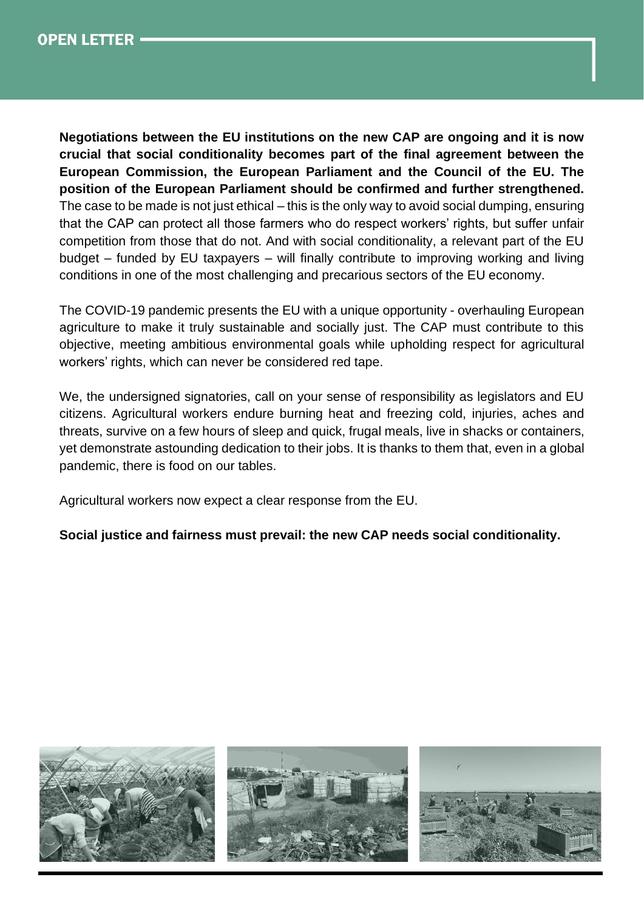

**Negotiations between the EU institutions on the new CAP are ongoing and it is now crucial that social conditionality becomes part of the final agreement between the European Commission, the European Parliament and the Council of the EU. The position of the European Parliament should be confirmed and further strengthened.** The case to be made is not just ethical – this is the only way to avoid social dumping, ensuring that the CAP can protect all those farmers who do respect workers' rights, but suffer unfair competition from those that do not. And with social conditionality, a relevant part of the EU budget – funded by EU taxpayers – will finally contribute to improving working and living conditions in one of the most challenging and precarious sectors of the EU economy.

The COVID-19 pandemic presents the EU with a unique opportunity - overhauling European agriculture to make it truly sustainable and socially just. The CAP must contribute to this objective, meeting ambitious environmental goals while upholding respect for agricultural workers' rights, which can never be considered red tape.

We, the undersigned signatories, call on your sense of responsibility as legislators and EU citizens. Agricultural workers endure burning heat and freezing cold, injuries, aches and threats, survive on a few hours of sleep and quick, frugal meals, live in shacks or containers, yet demonstrate astounding dedication to their jobs. It is thanks to them that, even in a global pandemic, there is food on our tables.

Agricultural workers now expect a clear response from the EU.

## **Social justice and fairness must prevail: the new CAP needs social conditionality.**

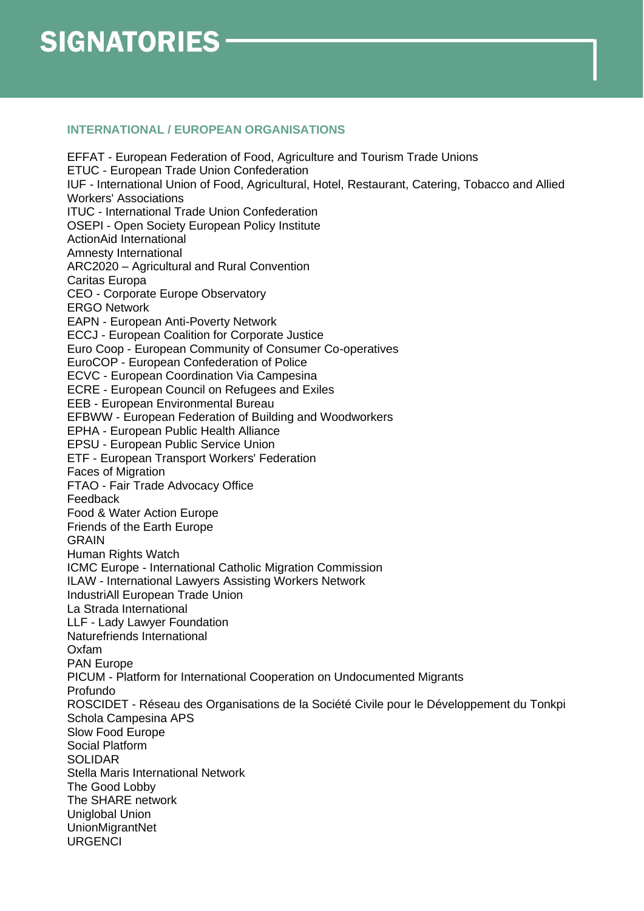## **INTERNATIONAL / EUROPEAN ORGANISATIONS**

EFFAT - European Federation of Food, Agriculture and Tourism Trade Unions ETUC - European Trade Union Confederation IUF - International Union of Food, Agricultural, Hotel, Restaurant, Catering, Tobacco and Allied Workers' Associations ITUC - International Trade Union Confederation OSEPI - Open Society European Policy Institute ActionAid International Amnesty International ARC2020 – Agricultural and Rural Convention Caritas Europa CEO - Corporate Europe Observatory ERGO Network EAPN - European Anti-Poverty Network ECCJ - European Coalition for Corporate Justice Euro Coop - European Community of Consumer Co-operatives EuroCOP - European Confederation of Police ECVC - European Coordination Via Campesina ECRE - European Council on Refugees and Exiles EEB - European Environmental Bureau EFBWW - European Federation of Building and Woodworkers EPHA - European Public Health Alliance EPSU - European Public Service Union ETF - European Transport Workers' Federation Faces of Migration FTAO - Fair Trade Advocacy Office Feedback Food & Water Action Europe Friends of the Earth Europe GRAIN Human Rights Watch ICMC Europe - International Catholic Migration Commission ILAW - International Lawyers Assisting Workers Network IndustriAll European Trade Union La Strada International LLF - Lady Lawyer Foundation Naturefriends International Oxfam PAN Europe PICUM - Platform for International Cooperation on Undocumented Migrants Profundo ROSCIDET - Réseau des Organisations de la Société Civile pour le Développement du Tonkpi Schola Campesina APS Slow Food Europe Social Platform SOLIDAR Stella Maris International Network The Good Lobby The SHARE network Uniglobal Union UnionMigrantNet **URGENCI**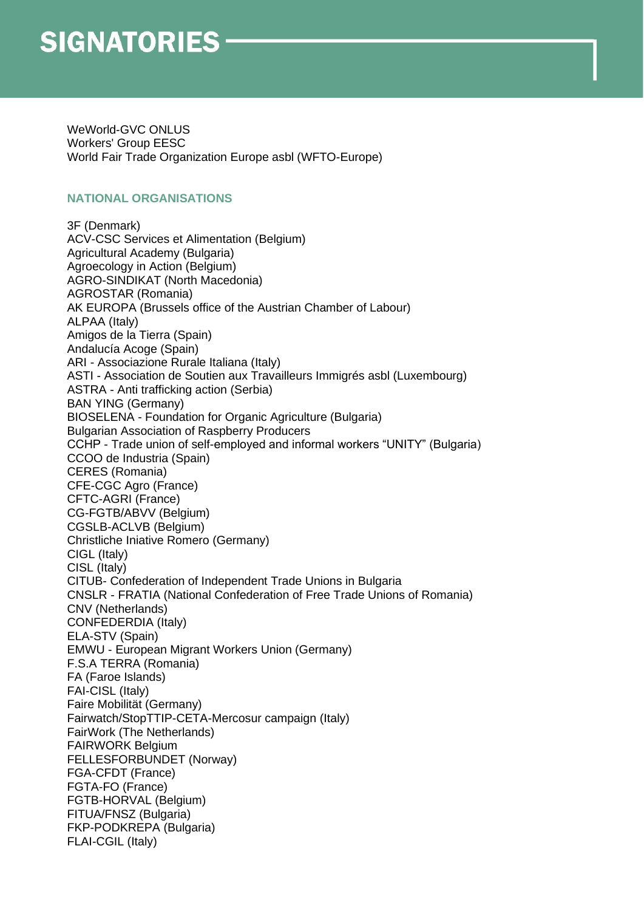WeWorld-GVC ONLUS Workers' Group EESC World Fair Trade Organization Europe asbl (WFTO-Europe)

#### **NATIONAL ORGANISATIONS**

3F (Denmark) ACV-CSC Services et Alimentation (Belgium) Agricultural Academy (Bulgaria) Agroecology in Action (Belgium) AGRO-SINDIKAT (North Macedonia) AGROSTAR (Romania) AK EUROPA (Brussels office of the Austrian Chamber of Labour) ALPAA (Italy) Amigos de la Tierra (Spain) Andalucía Acoge (Spain) ARI - Associazione Rurale Italiana (Italy) ASTI - Association de Soutien aux Travailleurs Immigrés asbl (Luxembourg) ASTRA - Anti trafficking action (Serbia) BAN YING (Germany) BIOSELENA - Foundation for Organic Agriculture (Bulgaria) Bulgarian Association of Raspberry Producers ССНР - Trade union of self-employed and informal workers "UNITY" (Bulgaria) CCOO de Industria (Spain) CERES (Romania) CFE-CGC Agro (France) CFTC-AGRI (France) CG-FGTB/ABVV (Belgium) CGSLB-ACLVB (Belgium) Christliche Iniative Romero (Germany) CIGL (Italy) CISL (Italy) CITUB- Confederation of Independent Trade Unions in Bulgaria CNSLR - FRATIA (National Confederation of Free Trade Unions of Romania) CNV (Netherlands) CONFEDERDIA (Italy) ELA-STV (Spain) EMWU - European Migrant Workers Union (Germany) F.S.A TERRA (Romania) FA (Faroe Islands) FAI-CISL (Italy) Faire Mobilität (Germany) Fairwatch/StopTTIP-CETA-Mercosur campaign (Italy) FairWork (The Netherlands) FAIRWORK Belgium FELLESFORBUNDET (Norway) FGA-CFDT (France) FGTA-FO (France) FGTB-HORVAL (Belgium) FITUA/FNSZ (Bulgaria) FKP-PODKREPA (Bulgaria) FLAI-CGIL (Italy)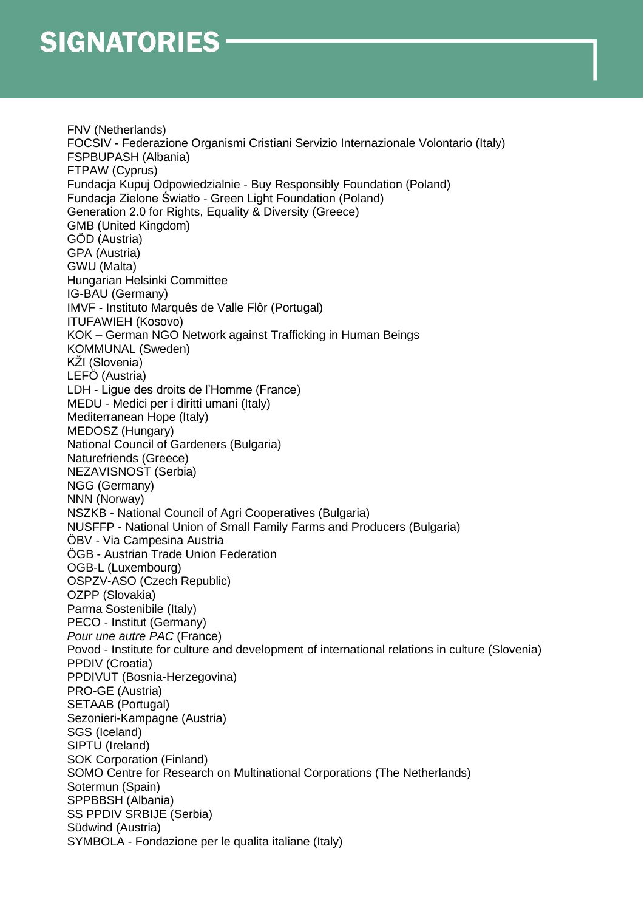FNV (Netherlands) FOCSIV - Federazione Organismi Cristiani Servizio Internazionale Volontario (Italy) FSPBUPASH (Albania) FTPAW (Cyprus) Fundacja Kupuj Odpowiedzialnie - Buy Responsibly Foundation (Poland) Fundacja Zielone Światło - Green Light Foundation (Poland) Generation 2.0 for Rights, Equality & Diversity (Greece) GMB (United Kingdom) GÖD (Austria) GPA (Austria) GWU (Malta) Hungarian Helsinki Committee IG-BAU (Germany) IMVF - Instituto Marquês de Valle Flôr (Portugal) ITUFAWIEH (Kosovo) KOK – German NGO Network against Trafficking in Human Beings KOMMUNAL (Sweden) KŽI (Slovenia) LEFÖ (Austria) LDH - Ligue des droits de l'Homme (France) MEDU - Medici per i diritti umani (Italy) Mediterranean Hope (Italy) MEDOSZ (Hungary) National Council of Gardeners (Bulgaria) Naturefriends (Greece) NEZAVISNOST (Serbia) NGG (Germany) NNN (Norway) NSZKB - National Council of Agri Cooperatives (Bulgaria) NUSFFP - National Union of Small Family Farms and Producers (Bulgaria) ÖBV - Via Campesina Austria ÖGB - Austrian Trade Union Federation OGB-L (Luxembourg) OSPZV-ASO (Czech Republic) OZPP (Slovakia) Parma Sostenibile (Italy) PECO - Institut (Germany) *Pour une autre PAC* (France) Povod - Institute for culture and development of international relations in culture (Slovenia) PPDIV (Croatia) PPDIVUT (Bosnia-Herzegovina) PRO-GE (Austria) SETAAB (Portugal) Sezonieri-Kampagne (Austria) SGS (Iceland) SIPTU (Ireland) SOK Corporation (Finland) SOMO Centre for Research on Multinational Corporations (The Netherlands) Sotermun (Spain) SPPBBSH (Albania) SS PPDIV SRBIJE (Serbia) Südwind (Austria) SYMBOLA - Fondazione per le qualita italiane (Italy)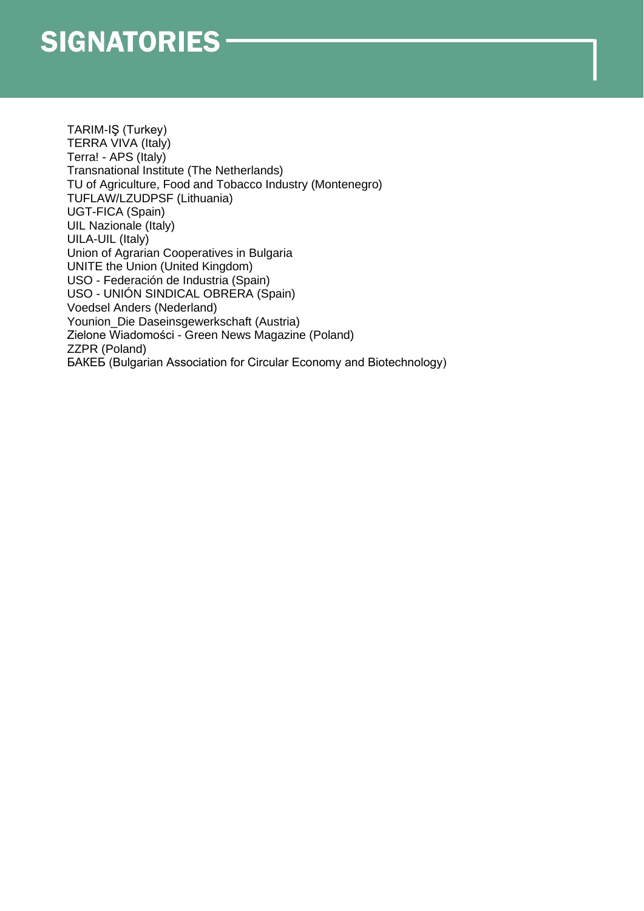TARIM-IŞ (Turkey) TERRA VIVA (Italy) Terra! - APS (Italy) Transnational Institute (The Netherlands) TU of Agriculture, Food and Tobacco Industry (Montenegro) TUFLAW/LZUDPSF (Lithuania) UGT-FICA (Spain) UIL Nazionale (Italy) UILA-UIL (Italy) Union of Agrarian Cooperatives in Bulgaria UNITE the Union (United Kingdom) USO - Federación de Industria (Spain) USO - UNIÓN SINDICAL OBRERA (Spain) Voedsel Anders (Nederland) Younion\_Die Daseinsgewerkschaft (Austria) Zielone Wiadomości - Green News Magazine (Poland) ZZPR (Poland) БАКЕБ (Bulgarian Association for Circular Economy and Biotechnology)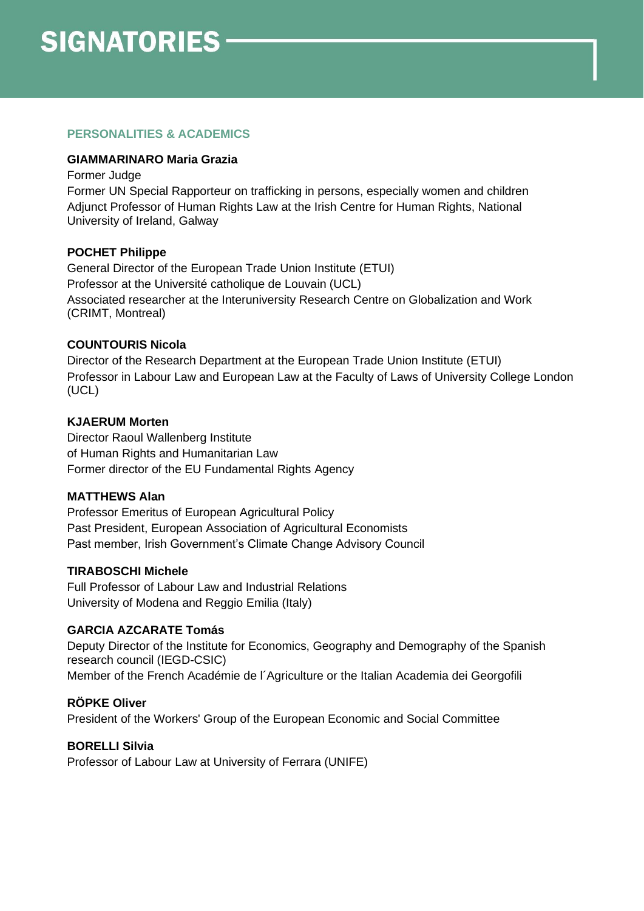## **PERSONALITIES & ACADEMICS**

## **GIAMMARINARO Maria Grazia**

Former Judge

Former UN Special Rapporteur on trafficking in persons, especially women and children Adjunct Professor of Human Rights Law at the Irish Centre for Human Rights, National University of Ireland, Galway

## **POCHET Philippe**

General Director of the European Trade Union Institute (ETUI) Professor at the Université catholique de Louvain (UCL) Associated researcher at the Interuniversity Research Centre on Globalization and Work (CRIMT, Montreal)

## **COUNTOURIS Nicola**

Director of the Research Department at the European Trade Union Institute (ETUI) Professor in Labour Law and European Law at the Faculty of Laws of University College London (UCL)

## **KJAERUM Morten**

Director Raoul Wallenberg Institute of Human Rights and Humanitarian Law Former director of the EU Fundamental Rights Agency

## **MATTHEWS Alan**

Professor Emeritus of European Agricultural Policy Past President, European Association of Agricultural Economists Past member, Irish Government's Climate Change Advisory Council

## **TIRABOSCHI Michele**

Full Professor of Labour Law and Industrial Relations University of Modena and Reggio Emilia (Italy)

## **GARCIA AZCARATE Tomás**

Deputy Director of the Institute for Economics, Geography and Demography of the Spanish research council (IEGD-CSIC) Member of the French Académie de l´Agriculture or the Italian Academia dei Georgofili

## **RÖPKE Oliver**

President of the Workers' Group of the European Economic and Social Committee

## **BORELLI Silvia**

Professor of Labour Law at University of Ferrara (UNIFE)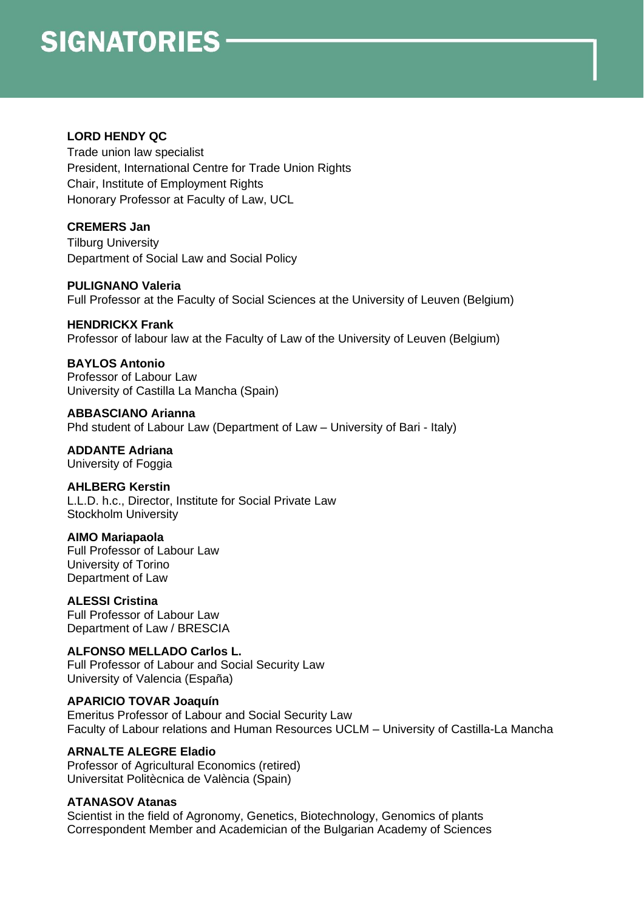## **LORD HENDY QC**

Trade union law specialist President, International Centre for Trade Union Rights Chair, Institute of Employment Rights Honorary Professor at Faculty of Law, UCL

## **CREMERS Jan**

Tilburg University Department of Social Law and Social Policy

**PULIGNANO Valeria** Full Professor at the Faculty of Social Sciences at the University of Leuven (Belgium)

## **HENDRICKX Frank**

Professor of labour law at the Faculty of Law of the University of Leuven (Belgium)

## **BAYLOS Antonio**

Professor of Labour Law University of Castilla La Mancha (Spain)

**ABBASCIANO Arianna** Phd student of Labour Law (Department of Law – University of Bari - Italy)

**ADDANTE Adriana** University of Foggia

## **AHLBERG Kerstin**

L.L.D. h.c., Director, Institute for Social Private Law Stockholm University

## **AIMO Mariapaola**

Full Professor of Labour Law University of Torino Department of Law

## **ALESSI Cristina**

Full Professor of Labour Law Department of Law / BRESCIA

## **ALFONSO MELLADO Carlos L.**

Full Professor of Labour and Social Security Law University of Valencia (España)

## **APARICIO TOVAR Joaquín**

Emeritus Professor of Labour and Social Security Law Faculty of Labour relations and Human Resources UCLM – University of Castilla-La Mancha

## **ARNALTE ALEGRE Eladio**

Professor of Agricultural Economics (retired) Universitat Politècnica de València (Spain)

## **ATANASOV Atanas**

Scientist in the field of Agronomy, Genetics, Biotechnology, Genomics of plants Correspondent Member and Academician of the Bulgarian Academy of Sciences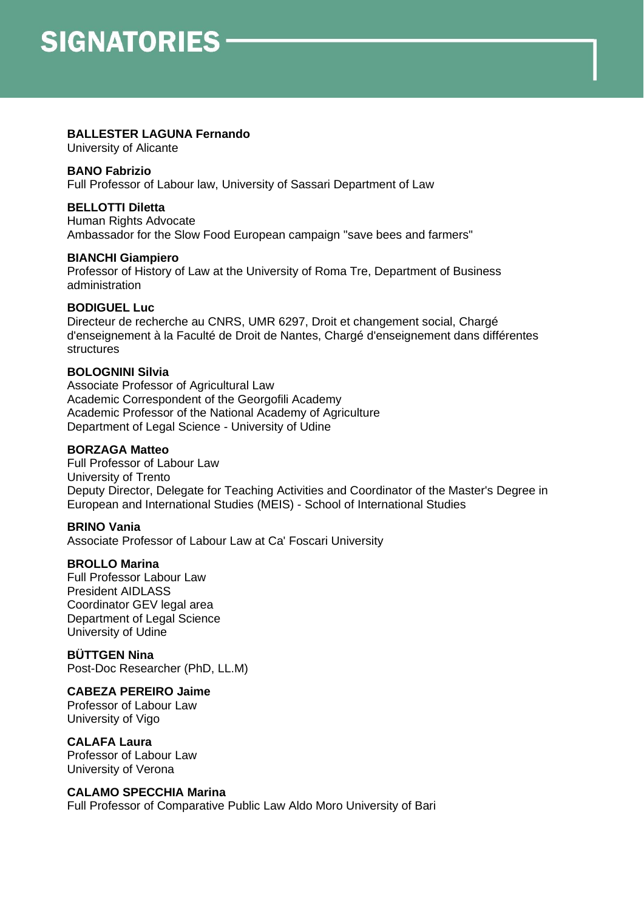## **BALLESTER LAGUNA Fernando**

University of Alicante

#### **BANO Fabrizio**

Full Professor of Labour law, University of Sassari Department of Law

## **BELLOTTI Diletta**

Human Rights Advocate Ambassador for the Slow Food European campaign "save bees and farmers"

## **BIANCHI Giampiero**

Professor of History of Law at the University of Roma Tre, Department of Business administration

## **BODIGUEL Luc**

Directeur de recherche au CNRS, UMR 6297, Droit et changement social, Chargé d'enseignement à la Faculté de Droit de Nantes, Chargé d'enseignement dans différentes structures

## **BOLOGNINI Silvia**

Associate Professor of Agricultural Law Academic Correspondent of the Georgofili Academy Academic Professor of the National Academy of Agriculture Department of Legal Science - University of Udine

## **BORZAGA Matteo**

Full Professor of Labour Law University of Trento Deputy Director, Delegate for Teaching Activities and Coordinator of the Master's Degree in European and International Studies (MEIS) - School of International Studies

## **BRINO Vania**

Associate Professor of Labour Law at Ca' Foscari University

## **BROLLO Marina**

Full Professor Labour Law President AIDLASS Coordinator GEV legal area Department of Legal Science University of Udine

## **BÜTTGEN Nina**

Post-Doc Researcher (PhD, LL.M)

## **CABEZA PEREIRO Jaime**

Professor of Labour Law University of Vigo

## **CALAFA Laura**

Professor of Labour Law University of Verona

## **CALAMO SPECCHIA Marina**

Full Professor of Comparative Public Law Aldo Moro University of Bari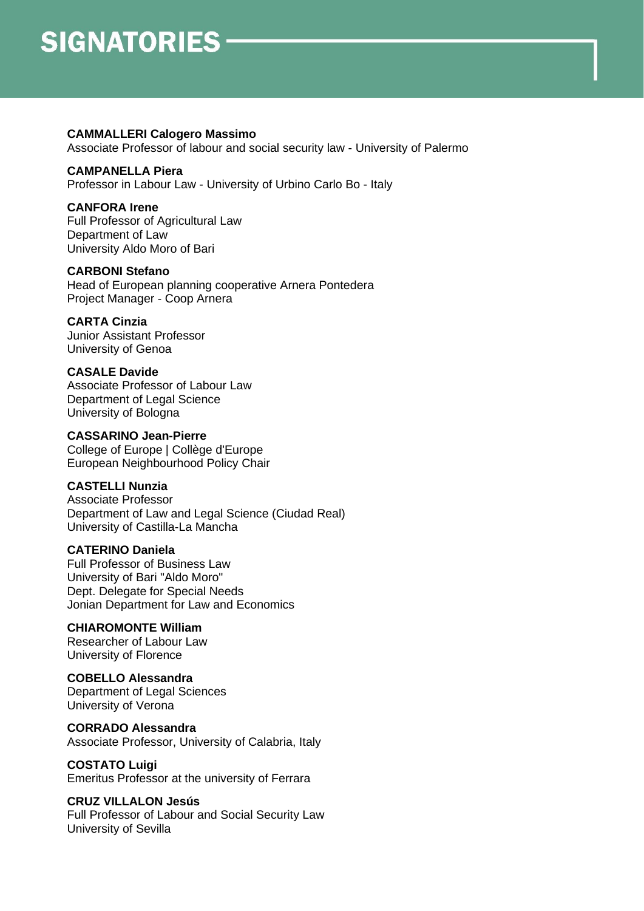#### **CAMMALLERI Calogero Massimo**

Associate Professor of labour and social security law - University of Palermo

## **CAMPANELLA Piera**

Professor in Labour Law - University of Urbino Carlo Bo - Italy

## **CANFORA Irene**

Full Professor of Agricultural Law Department of Law University Aldo Moro of Bari

#### **CARBONI Stefano**

Head of European planning cooperative Arnera Pontedera Project Manager - Coop Arnera

## **CARTA Cinzia**

Junior Assistant Professor University of Genoa

## **CASALE Davide**

Associate Professor of Labour Law Department of Legal Science University of Bologna

## **CASSARINO Jean-Pierre**

College of Europe | Collège d'Europe European Neighbourhood Policy Chair

## **CASTELLI Nunzia**

Associate Professor Department of Law and Legal Science (Ciudad Real) University of Castilla-La Mancha

## **CATERINO Daniela**

Full Professor of Business Law University of Bari "Aldo Moro" Dept. Delegate for Special Needs Jonian Department for Law and Economics

## **CHIAROMONTE William**

Researcher of Labour Law University of Florence

## **COBELLO Alessandra**

Department of Legal Sciences University of Verona

#### **CORRADO Alessandra** Associate Professor, University of Calabria, Italy

**COSTATO Luigi** Emeritus Professor at the university of Ferrara

## **CRUZ VILLALON Jesús**

Full Professor of Labour and Social Security Law University of Sevilla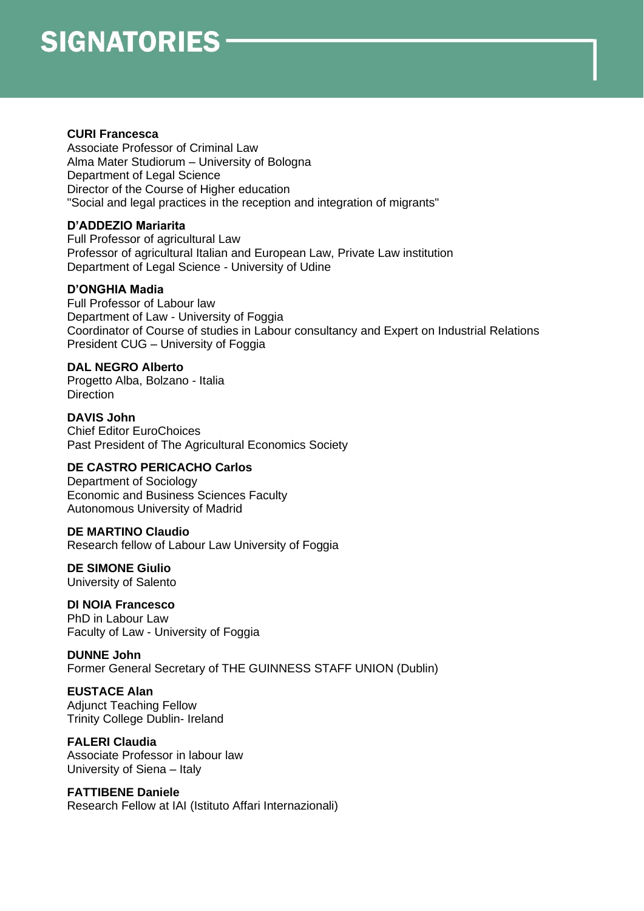#### **CURI Francesca**

Associate Professor of Criminal Law Alma Mater Studiorum – University of Bologna Department of Legal Science Director of the Course of Higher education "Social and legal practices in the reception and integration of migrants"

## **D'ADDEZIO Mariarita**

Full Professor of agricultural Law Professor of agricultural Italian and European Law, Private Law institution Department of Legal Science - University of Udine

## **D'ONGHIA Madia**

Full Professor of Labour law Department of Law - University of Foggia Coordinator of Course of studies in Labour consultancy and Expert on Industrial Relations President CUG – University of Foggia

## **DAL NEGRO Alberto**

Progetto Alba, Bolzano - Italia **Direction** 

**DAVIS John** Chief Editor EuroChoices Past President of The Agricultural Economics Society

## **DE CASTRO PERICACHO Carlos**

Department of Sociology Economic and Business Sciences Faculty Autonomous University of Madrid

## **DE MARTINO Claudio**

Research fellow of Labour Law University of Foggia

**DE SIMONE Giulio** University of Salento

## **DI NOIA Francesco**

PhD in Labour Law Faculty of Law - University of Foggia

**DUNNE John** Former General Secretary of THE GUINNESS STAFF UNION (Dublin)

## **EUSTACE Alan**

Adjunct Teaching Fellow Trinity College Dublin- Ireland

## **FALERI Claudia**

Associate Professor in labour law University of Siena – Italy

## **FATTIBENE Daniele**

Research Fellow at IAI (Istituto Affari Internazionali)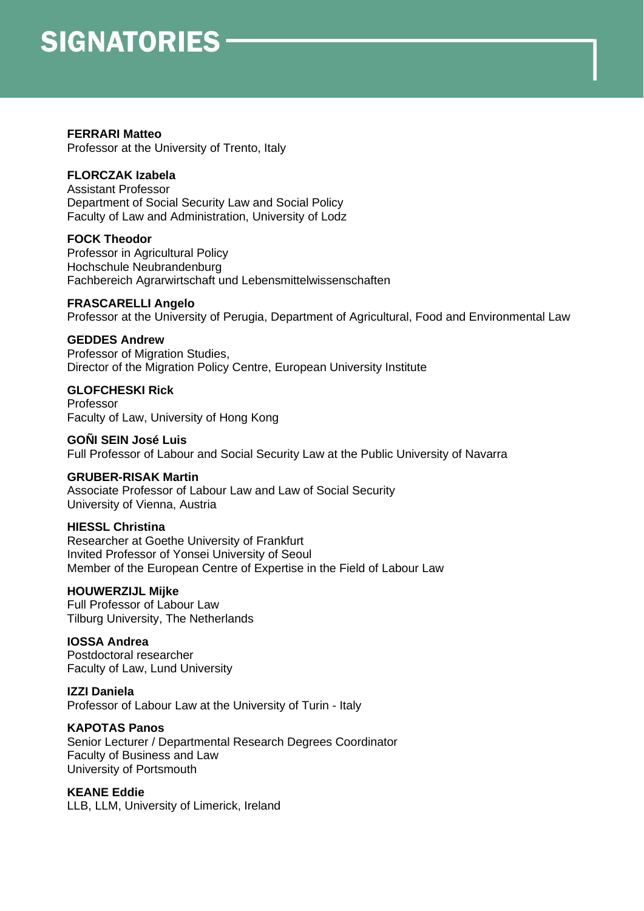## **FERRARI Matteo**

Professor at the University of Trento, Italy

## **FLORCZAK Izabela**

Assistant Professor Department of Social Security Law and Social Policy Faculty of Law and Administration, University of Lodz

## **FOCK Theodor**

Professor in Agricultural Policy Hochschule Neubrandenburg Fachbereich Agrarwirtschaft und Lebensmittelwissenschaften

## **FRASCARELLI Angelo**

Professor at the University of Perugia, Department of Agricultural, Food and Environmental Law

## **GEDDES Andrew**

Professor of Migration Studies, Director of the Migration Policy Centre, European University Institute

## **GLOFCHESKI Rick**

Professor Faculty of Law, University of Hong Kong

## **GOÑI SEIN José Luis**

Full Professor of Labour and Social Security Law at the Public University of Navarra

## **GRUBER-RISAK Martin**

Associate Professor of Labour Law and Law of Social Security University of Vienna, Austria

## **HIESSL Christina**

Researcher at Goethe University of Frankfurt Invited Professor of Yonsei University of Seoul Member of the European Centre of Expertise in the Field of Labour Law

## **HOUWERZIJL Mijke**

Full Professor of Labour Law Tilburg University, The Netherlands

## **IOSSA Andrea**

Postdoctoral researcher Faculty of Law, Lund University

## **IZZI Daniela**

Professor of Labour Law at the University of Turin - Italy

## **KAPOTAS Panos**

Senior Lecturer / Departmental Research Degrees Coordinator Faculty of Business and Law University of Portsmouth

## **KEANE Eddie**

LLB, LLM, University of Limerick, Ireland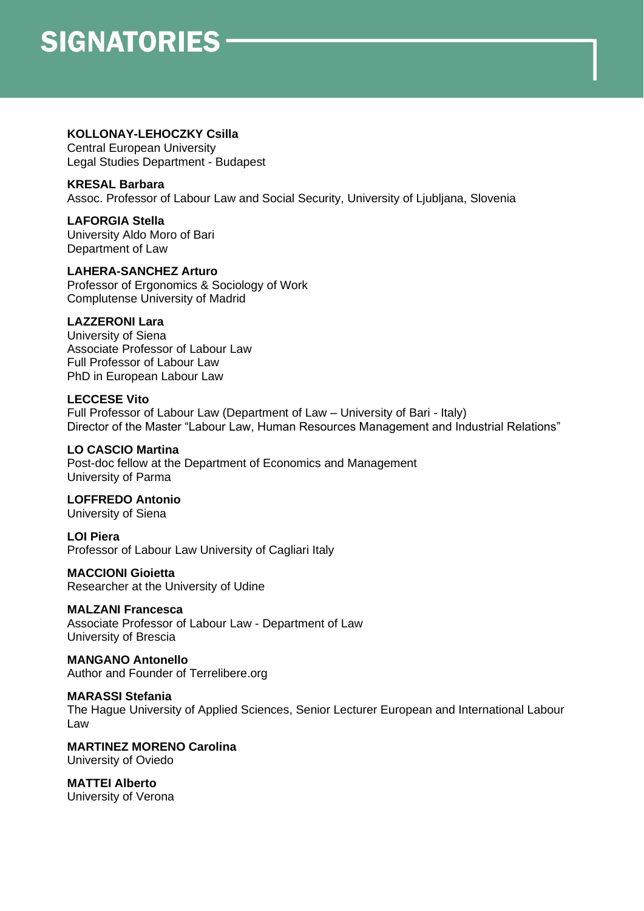## **KOLLONAY-LEHOCZKY Csilla**

Central European University Legal Studies Department - Budapest

## **KRESAL Barbara**

Assoc. Professor of Labour Law and Social Security, University of Ljubljana, Slovenia

**LAFORGIA Stella** University Aldo Moro of Bari Department of Law

#### **LAHERA-SANCHEZ Arturo** Professor of Ergonomics & Sociology of Work Complutense University of Madrid

## **LAZZERONI Lara**

University of Siena Associate Professor of Labour Law Full Professor of Labour Law PhD in European Labour Law

## **LECCESE Vito**

Full Professor of Labour Law (Department of Law – University of Bari - Italy) Director of the Master "Labour Law, Human Resources Management and Industrial Relations"

## **LO CASCIO Martina**

Post-doc fellow at the Department of Economics and Management University of Parma

## **LOFFREDO Antonio**

University of Siena

**LOI Piera** Professor of Labour Law University of Cagliari Italy

## **MACCIONI Gioietta**

Researcher at the University of Udine

## **MALZANI Francesca**

Associate Professor of Labour Law - Department of Law University of Brescia

#### **MANGANO Antonello** Author and Founder of Terrelibere.org

**MARASSI Stefania** The Hague University of Applied Sciences, Senior Lecturer European and International Labour Law

**MARTINEZ MORENO Carolina** University of Oviedo

**MATTEI Alberto** University of Verona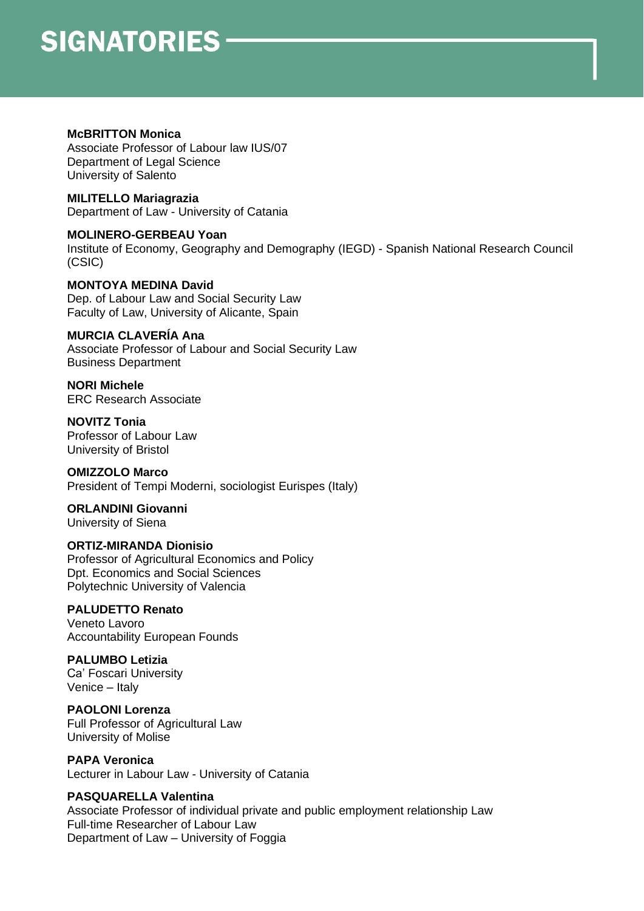#### **McBRITTON Monica**

Associate Professor of Labour law IUS/07 Department of Legal Science University of Salento

**MILITELLO Mariagrazia** Department of Law - University of Catania

**MOLINERO-GERBEAU Yoan** Institute of Economy, Geography and Demography (IEGD) - Spanish National Research Council (CSIC)

**MONTOYA MEDINA David** Dep. of Labour Law and Social Security Law Faculty of Law, University of Alicante, Spain

## **MURCIA CLAVERÍA Ana**

Associate Professor of Labour and Social Security Law Business Department

**NORI Michele** ERC Research Associate

**NOVITZ Tonia** Professor of Labour Law University of Bristol

## **OMIZZOLO Marco**

President of Tempi Moderni, sociologist Eurispes (Italy)

#### **ORLANDINI Giovanni** University of Siena

## **ORTIZ-MIRANDA Dionisio**

Professor of Agricultural Economics and Policy Dpt. Economics and Social Sciences Polytechnic University of Valencia

## **PALUDETTO Renato**

Veneto Lavoro Accountability European Founds

## **PALUMBO Letizia**

Ca' Foscari University Venice – Italy

**PAOLONI Lorenza**

Full Professor of Agricultural Law University of Molise

## **PAPA Veronica**

Lecturer in Labour Law - University of Catania

## **PASQUARELLA Valentina**

Associate Professor of individual private and public employment relationship Law Full-time Researcher of Labour Law Department of Law – University of Foggia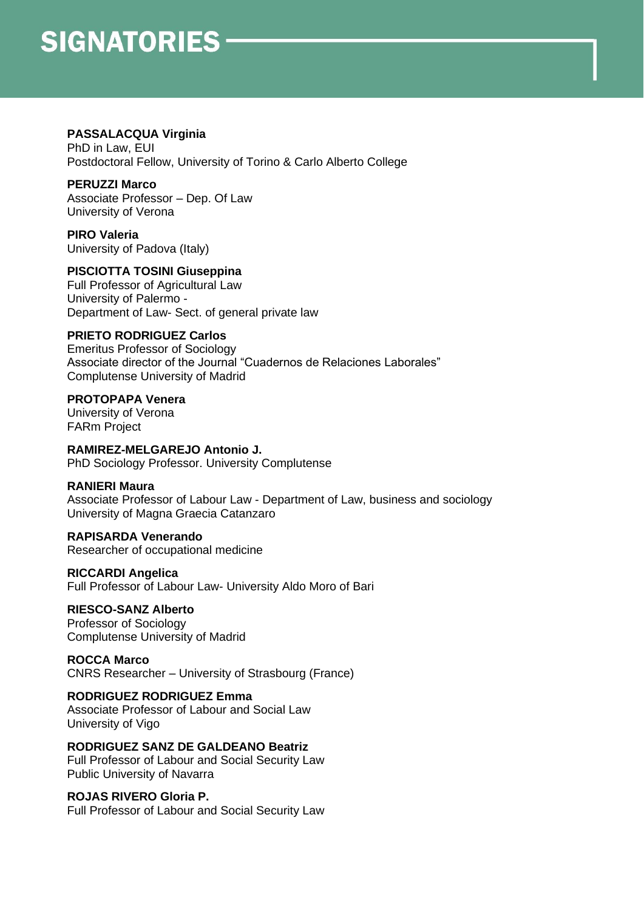## **PASSALACQUA Virginia**

PhD in Law, EUI Postdoctoral Fellow, University of Torino & Carlo Alberto College

## **PERUZZI Marco**

Associate Professor – Dep. Of Law University of Verona

**PIRO Valeria** University of Padova (Italy)

## **PISCIOTTA TOSINI Giuseppina**

Full Professor of Agricultural Law University of Palermo - Department of Law- Sect. of general private law

## **PRIETO RODRIGUEZ Carlos**

Emeritus Professor of Sociology Associate director of the Journal "Cuadernos de Relaciones Laborales" Complutense University of Madrid

## **PROTOPAPA Venera**

University of Verona FARm Project

## **RAMIREZ-MELGAREJO Antonio J.**

PhD Sociology Professor. University Complutense

## **RANIERI Maura**

Associate Professor of Labour Law - Department of Law, business and sociology University of Magna Graecia Catanzaro

## **RAPISARDA Venerando**

Researcher of occupational medicine

## **RICCARDI Angelica**

Full Professor of Labour Law- University Aldo Moro of Bari

## **RIESCO-SANZ Alberto**

Professor of Sociology Complutense University of Madrid

## **ROCCA Marco**

CNRS Researcher – University of Strasbourg (France)

## **RODRIGUEZ RODRIGUEZ Emma**

Associate Professor of Labour and Social Law University of Vigo

**RODRIGUEZ SANZ DE GALDEANO Beatriz** Full Professor of Labour and Social Security Law Public University of Navarra

## **ROJAS RIVERO Gloria P.**

Full Professor of Labour and Social Security Law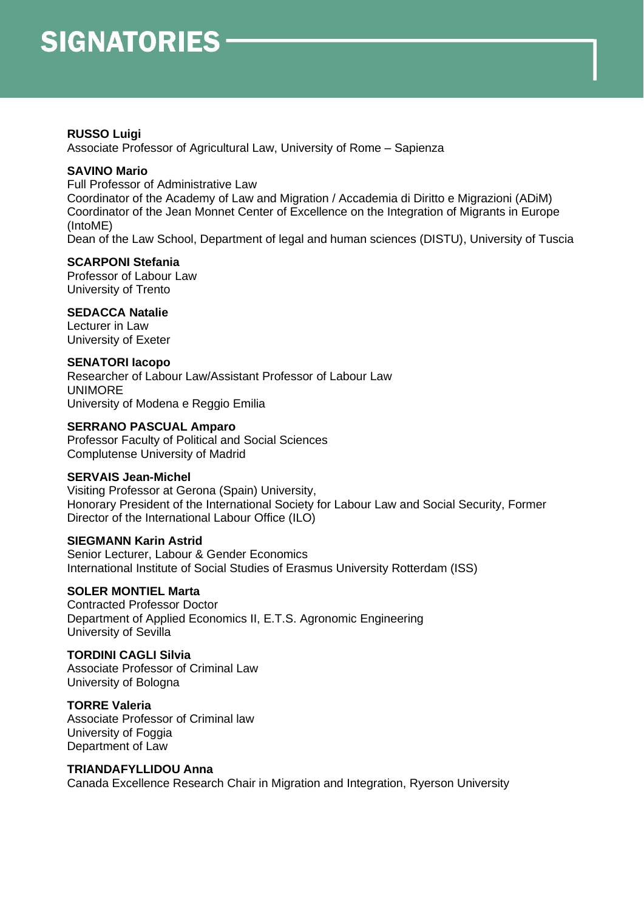## **RUSSO Luigi**

Associate Professor of Agricultural Law, University of Rome – Sapienza

## **SAVINO Mario**

Full Professor of Administrative Law

Coordinator of the Academy of Law and Migration / Accademia di Diritto e Migrazioni (ADiM) Coordinator of the Jean Monnet Center of Excellence on the Integration of Migrants in Europe (IntoME)

Dean of the Law School, Department of legal and human sciences (DISTU), University of Tuscia

## **SCARPONI Stefania**

Professor of Labour Law University of Trento

#### **SEDACCA Natalie**

Lecturer in Law University of Exeter

#### **SENATORI Iacopo**

Researcher of Labour Law/Assistant Professor of Labour Law UNIMORE University of Modena e Reggio Emilia

## **SERRANO PASCUAL Amparo**

Professor Faculty of Political and Social Sciences Complutense University of Madrid

## **SERVAIS Jean-Michel**

Visiting Professor at Gerona (Spain) University, Honorary President of the International Society for Labour Law and Social Security, Former Director of the International Labour Office (ILO)

## **SIEGMANN Karin Astrid**

Senior Lecturer, Labour & Gender Economics International Institute of Social Studies of Erasmus University Rotterdam (ISS)

## **SOLER MONTIEL Marta**

Contracted Professor Doctor Department of Applied Economics II, E.T.S. Agronomic Engineering University of Sevilla

#### **TORDINI CAGLI Silvia**

Associate Professor of Criminal Law University of Bologna

**TORRE Valeria** Associate Professor of Criminal law University of Foggia Department of Law

#### **TRIANDAFYLLIDOU Anna**

Canada Excellence Research Chair in Migration and Integration, Ryerson University